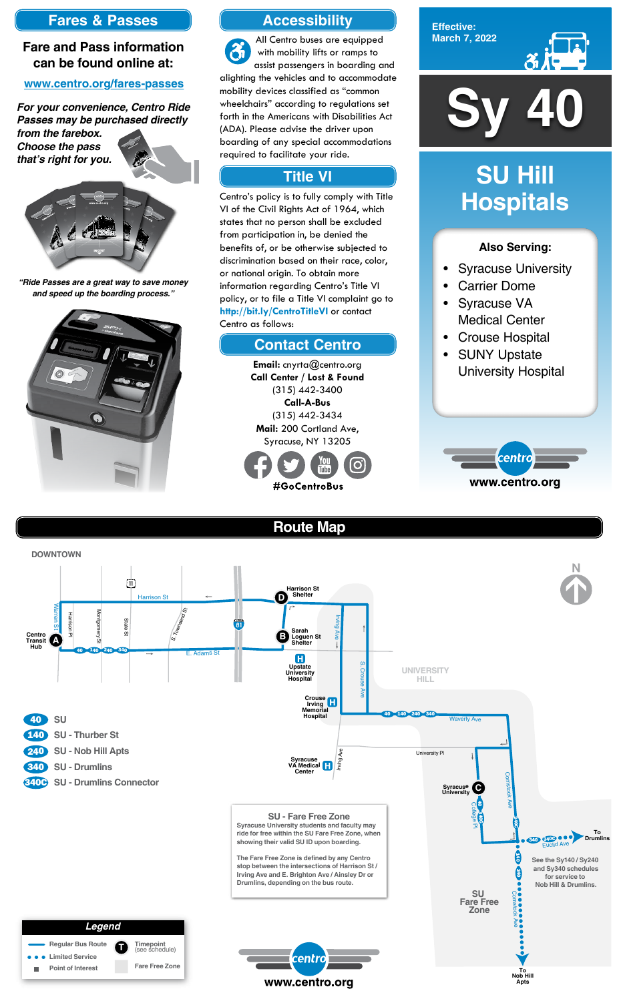

**Effective: March 7, 2022**



#### **Also Serving:**

- Syracuse University
- **Carrier Dome**
- Syracuse VA Medical Center
- Crouse Hospital
- SUNY Upstate University Hospital



# **SU Hill Hospitals**

# **Route Map**



### **Accessibility**

## **Contact Centro**

## **Title VI**

All Centro buses are equipped  $\mathfrak{F}$ with mobility lifts or ramps to assist passengers in boarding and alighting the vehicles and to accommodate mobility devices classified as "common wheelchairs" according to regulations set forth in the Americans with Disabilities Act (ADA). Please advise the driver upon boarding of any special accommodations required to facilitate your ride.

Centro's policy is to fully comply with Title VI of the Civil Rights Act of 1964, which states that no person shall be excluded from participation in, be denied the benefits of, or be otherwise subjected to discrimination based on their race, color, or national origin. To obtain more information regarding Centro's Title VI policy, or to file a Title VI complaint go to **http://bit.ly/CentroTitleVI** or contact Centro as follows:

> **Email:** cnyrta@centro.org **Call Center / Lost & Found** (315) 442-3400 **Call-A-Bus** (315) 442-3434 **Mail:** 200 Cortland Ave, Syracuse, NY 13205



## **Fares & Passes**

#### **Fare and Pass information can be found online at:**

#### **www.centro.org/fares-passes**

*"Ride Passes are a great way to save money and speed up the boarding process."*



*For your convenience, Centro Ride Passes may be purchased directly* 

*from the farebox. Choose the pass that's right for you.*